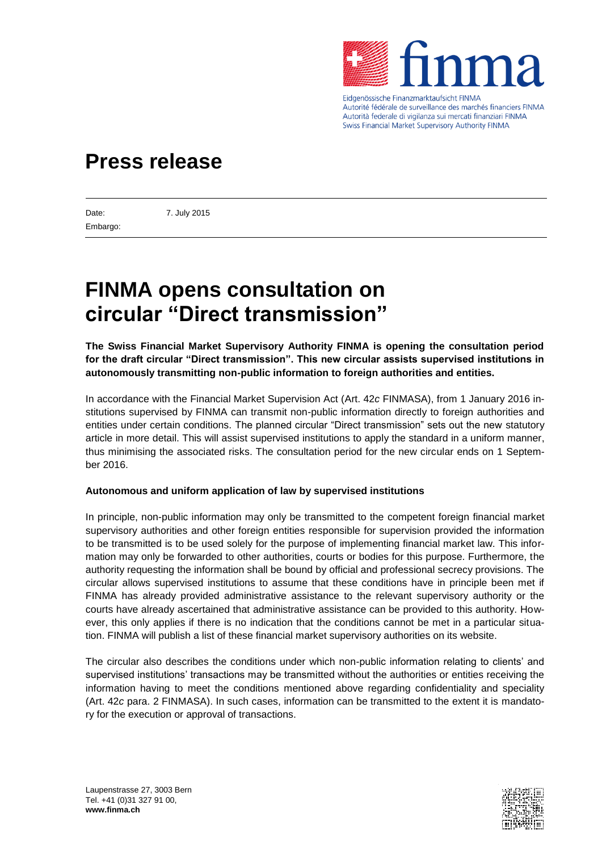

Eidgenössische Finanzmarktaufsicht FINMA Autorité fédérale de surveillance des marchés financiers FINMA Autorità federale di vigilanza sui mercati finanziari FINMA **Swiss Financial Market Supervisory Authority FINMA** 

## **Press release**

Embargo:

Date: 7. July 2015

# **FINMA opens consultation on circular "Direct transmission"**

**The Swiss Financial Market Supervisory Authority FINMA is opening the consultation period for the draft circular "Direct transmission". This new circular assists supervised institutions in autonomously transmitting non-public information to foreign authorities and entities.** 

In accordance with the Financial Market Supervision Act (Art. 42*c* FINMASA), from 1 January 2016 institutions supervised by FINMA can transmit non-public information directly to foreign authorities and entities under certain conditions. The planned circular "Direct transmission" sets out the new statutory article in more detail. This will assist supervised institutions to apply the standard in a uniform manner, thus minimising the associated risks. The consultation period for the new circular ends on 1 September 2016.

## **Autonomous and uniform application of law by supervised institutions**

In principle, non-public information may only be transmitted to the competent foreign financial market supervisory authorities and other foreign entities responsible for supervision provided the information to be transmitted is to be used solely for the purpose of implementing financial market law. This information may only be forwarded to other authorities, courts or bodies for this purpose. Furthermore, the authority requesting the information shall be bound by official and professional secrecy provisions. The circular allows supervised institutions to assume that these conditions have in principle been met if FINMA has already provided administrative assistance to the relevant supervisory authority or the courts have already ascertained that administrative assistance can be provided to this authority. However, this only applies if there is no indication that the conditions cannot be met in a particular situation. FINMA will publish a list of these financial market supervisory authorities on its website.

The circular also describes the conditions under which non-public information relating to clients' and supervised institutions' transactions may be transmitted without the authorities or entities receiving the information having to meet the conditions mentioned above regarding confidentiality and speciality (Art. 42*c* para. 2 FINMASA). In such cases, information can be transmitted to the extent it is mandatory for the execution or approval of transactions.